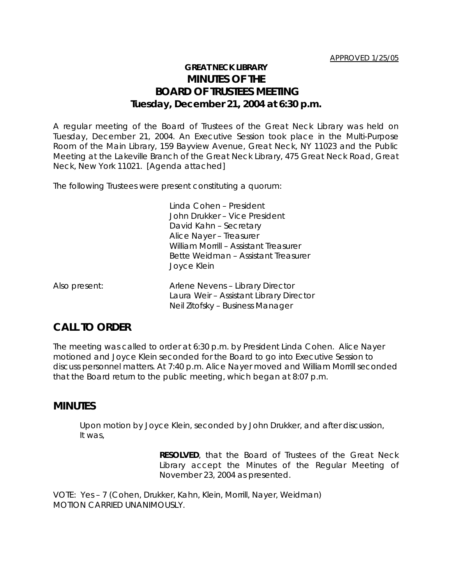## **GREAT NECK LIBRARY MINUTES OF THE BOARD OF TRUSTEES MEETING Tuesday, December 21, 2004 at 6:30 p.m.**

A regular meeting of the Board of Trustees of the Great Neck Library was held on Tuesday, December 21, 2004. An Executive Session took place in the Multi-Purpose Room of the Main Library, 159 Bayview Avenue, Great Neck, NY 11023 and the Public Meeting at the Lakeville Branch of the Great Neck Library, 475 Great Neck Road, Great Neck, New York 11021. [Agenda attached]

The following Trustees were present constituting a quorum:

Linda Cohen – President John Drukker – Vice President David Kahn – Secretary Alice Nayer – Treasurer William Morrill – Assistant Treasurer Bette Weidman – Assistant Treasurer Joyce Klein

| Also present: | Arlene Nevens - Library Director        |
|---------------|-----------------------------------------|
|               | Laura Weir - Assistant Library Director |
|               | Neil Zitofsky – Business Manager        |

# **CALL TO ORDER**

The meeting was called to order at 6:30 p.m. by President Linda Cohen. Alice Nayer motioned and Joyce Klein seconded for the Board to go into Executive Session to discuss personnel matters. At 7:40 p.m. Alice Nayer moved and William Morrill seconded that the Board return to the public meeting, which began at 8:07 p.m.

### **MINUTES**

Upon motion by Joyce Klein, seconded by John Drukker, and after discussion, It was,

> **RESOLVED**, that the Board of Trustees of the Great Neck Library accept the Minutes of the Regular Meeting of November 23, 2004 as presented.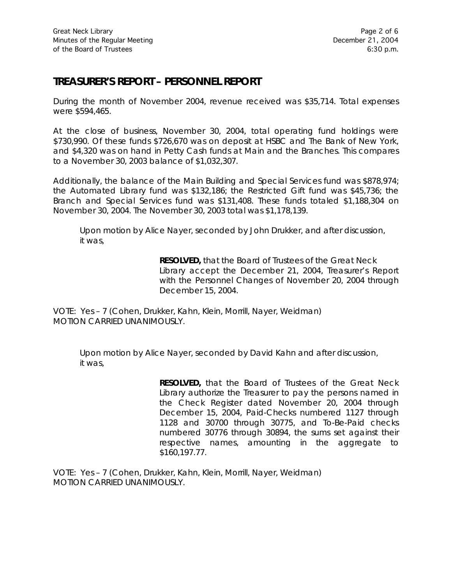## **TREASURER'S REPORT – PERSONNEL REPORT**

During the month of November 2004, revenue received was \$35,714. Total expenses were \$594,465.

At the close of business, November 30, 2004, total operating fund holdings were \$730,990. Of these funds \$726,670 was on deposit at HSBC and The Bank of New York, and \$4,320 was on hand in Petty Cash funds at Main and the Branches. This compares to a November 30, 2003 balance of \$1,032,307.

Additionally, the balance of the Main Building and Special Services fund was \$878,974; the Automated Library fund was \$132,186; the Restricted Gift fund was \$45,736; the Branch and Special Services fund was \$131,408. These funds totaled \$1,188,304 on November 30, 2004. The November 30, 2003 total was \$1,178,139.

Upon motion by Alice Nayer, seconded by John Drukker, and after discussion, it was,

> **RESOLVED,** that the Board of Trustees of the Great Neck Library accept the December 21, 2004, Treasurer's Report with the Personnel Changes of November 20, 2004 through December 15, 2004.

VOTE:Yes – 7 (Cohen, Drukker, Kahn, Klein, Morrill, Nayer, Weidman) *MOTION CARRIED UNANIMOUSLY.*

Upon motion by Alice Nayer, seconded by David Kahn and after discussion, it was,

> **RESOLVED,** that the Board of Trustees of the Great Neck Library authorize the Treasurer to pay the persons named in the Check Register dated November 20, 2004 through December 15, 2004, Paid-Checks numbered 1127 through 1128 and 30700 through 30775, and To-Be-Paid checks numbered 30776 through 30894, the sums set against their respective names, amounting in the aggregate to \$160,197.77.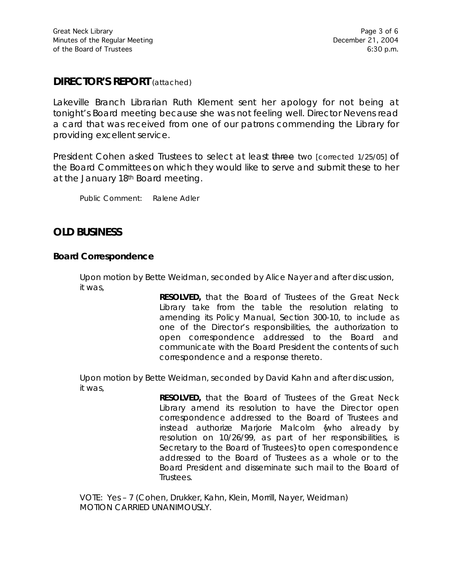### **DIRECTOR'S REPORT** (attached)

Lakeville Branch Librarian Ruth Klement sent her apology for not being at tonight's Board meeting because she was not feeling well. Director Nevens read a card that was received from one of our patrons commending the Library for providing excellent service.

President Cohen asked Trustees to select at least three two [corrected 1/25/05] of the Board Committees on which they would like to serve and submit these to her at the January 18th Board meeting.

Public Comment: Ralene Adler

# **OLD BUSINESS**

#### **Board Correspondence**

Upon motion by Bette Weidman, seconded by Alice Nayer and after discussion, it was,

> **RESOLVED,** that the Board of Trustees of the Great Neck Library take from the table the resolution relating to amending its Policy Manual, Section 300-10, to include as one of the Director's responsibilities, the authorization to open correspondence addressed to the Board and communicate with the Board President the contents of such correspondence and a response thereto.

Upon motion by Bette Weidman, seconded by David Kahn and after discussion, it was,

> **RESOLVED,** that the Board of Trustees of the Great Neck Library amend its resolution to have the Director open correspondence addressed to the Board of Trustees and instead authorize Marjorie Malcolm {who already by resolution on 10/26/99, as part of her responsibilities, is Secretary to the Board of Trustees} to open correspondence addressed to the Board of Trustees as a whole or to the Board President and disseminate such mail to the Board of **Trustees**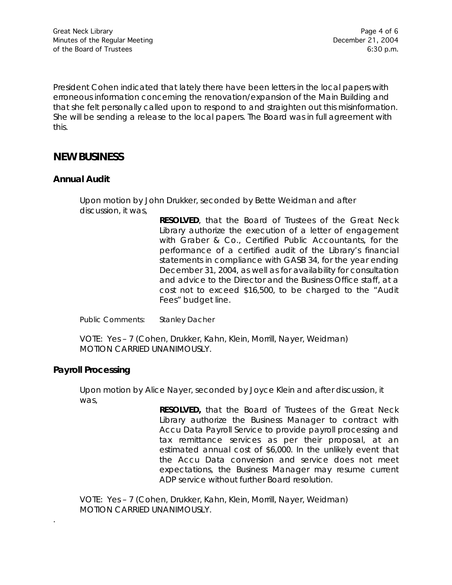President Cohen indicated that lately there have been letters in the local papers with erroneous information concerning the renovation/expansion of the Main Building and that she felt personally called upon to respond to and straighten out this misinformation. She will be sending a release to the local papers. The Board was in full agreement with this.

### **NEW BUSINESS**

#### **Annual Audit**

Upon motion by John Drukker, seconded by Bette Weidman and after discussion, it was,

> **RESOLVED**, that the Board of Trustees of the Great Neck Library authorize the execution of a letter of engagement with Graber & Co., Certified Public Accountants, for the performance of a certified audit of the Library's financial statements in compliance with GASB 34, for the year ending December 31, 2004, as well as for availability for consultation and advice to the Director and the Business Office staff, at a cost not to exceed \$16,500, to be charged to the "Audit Fees" budget line.

Public Comments: Stanley Dacher

VOTE:Yes – 7 (Cohen, Drukker, Kahn, Klein, Morrill, Nayer, Weidman) *MOTION CARRIED UNANIMOUSLY.*

#### **Payroll Processing**

.

Upon motion by Alice Nayer, seconded by Joyce Klein and after discussion, it was,

> **RESOLVED,** that the Board of Trustees of the Great Neck Library authorize the Business Manager to contract with Accu Data Payroll Service to provide payroll processing and tax remittance services as per their proposal, at an estimated annual cost of \$6,000. In the unlikely event that the Accu Data conversion and service does not meet expectations, the Business Manager may resume current ADP service without further Board resolution.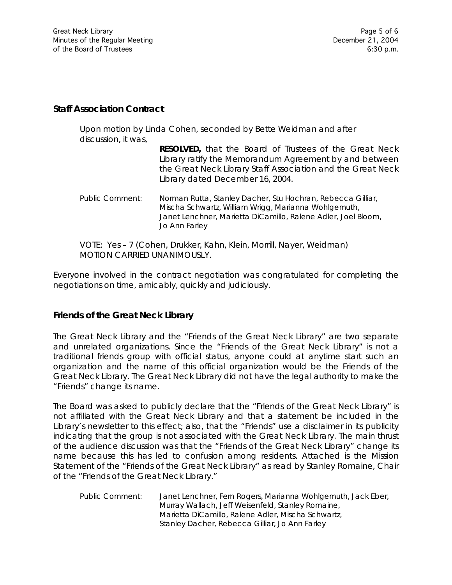#### **Staff Association Contract**

Upon motion by Linda Cohen, seconded by Bette Weidman and after discussion, it was,

| RESOLVED, that the Board of Trustees of the Great Neck      |  |
|-------------------------------------------------------------|--|
| Library ratify the Memorandum Agreement by and between      |  |
| the Great Neck Library Staff Association and the Great Neck |  |
| Library dated December 16, 2004.                            |  |

Public Comment: Norman Rutta, Stanley Dacher, Stu Hochran, Rebecca Gilliar, Mischa Schwartz, William Wrigg, Marianna Wohlgemuth, Janet Lenchner, Marietta DiCamillo, Ralene Adler, Joel Bloom, Jo Ann Farley

VOTE:Yes – 7 (Cohen, Drukker, Kahn, Klein, Morrill, Nayer, Weidman) *MOTION CARRIED UNANIMOUSLY.*

Everyone involved in the contract negotiation was congratulated for completing the negotiations on time, amicably, quickly and judiciously.

#### **Friends of the Great Neck Library**

The Great Neck Library and the "Friends of the Great Neck Library" are two separate and unrelated organizations. Since the "Friends of the Great Neck Library" is not a traditional friends group with official status, anyone could at anytime start such an organization and the name of this official organization would be the Friends of the Great Neck Library. The Great Neck Library did not have the legal authority to make the "Friends" change its name.

The Board was asked to publicly declare that the "Friends of the Great Neck Library" is not affiliated with the Great Neck Library and that a statement be included in the Library's newsletter to this effect; also, that the "Friends" use a disclaimer in its publicity indicating that the group is not associated with the Great Neck Library. The main thrust of the audience discussion was that the "Friends of the Great Neck Library" change its name because this has led to confusion among residents. Attached is the Mission Statement of the "Friends of the Great Neck Library" as read by Stanley Romaine, Chair of the "Friends of the Great Neck Library."

Public Comment: Janet Lenchner, Fern Rogers, Marianna Wohlgemuth, Jack Eber, Murray Wallach, Jeff Weisenfeld, Stanley Romaine, Marietta DiCamillo, Ralene Adler, Mischa Schwartz, Stanley Dacher, Rebecca Gilliar, Jo Ann Farley